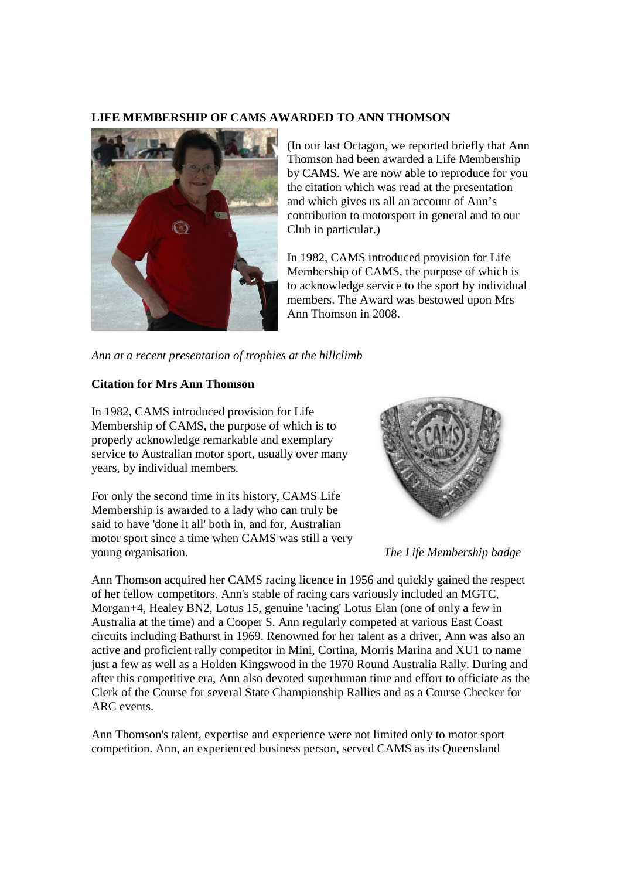## **LIFE MEMBERSHIP OF CAMS AWARDED TO ANN THOMSON**



(In our last Octagon, we reported briefly that Ann Thomson had been awarded a Life Membership by CAMS. We are now able to reproduce for you the citation which was read at the presentation and which gives us all an account of Ann's contribution to motorsport in general and to our Club in particular.)

In 1982, CAMS introduced provision for Life Membership of CAMS, the purpose of which is to acknowledge service to the sport by individual members. The Award was bestowed upon Mrs Ann Thomson in 2008.

*Ann at a recent presentation of trophies at the hillclimb*

## **Citation for Mrs Ann Thomson**

In 1982, CAMS introduced provision for Life Membership of CAMS, the purpose of which is to properly acknowledge remarkable and exemplary service to Australian motor sport, usually over many years, by individual members.

For only the second time in its history, CAMS Life Membership is awarded to a lady who can truly be said to have 'done it all' both in, and for, Australian motor sport since a time when CAMS was still a very young organisation. *The Life Membership badge*



Ann Thomson acquired her CAMS racing licence in 1956 and quickly gained the respect of her fellow competitors. Ann's stable of racing cars variously included an MGTC, Morgan+4, Healey BN2, Lotus 15, genuine 'racing' Lotus Elan (one of only a few in Australia at the time) and a Cooper S. Ann regularly competed at various East Coast circuits including Bathurst in 1969. Renowned for her talent as a driver, Ann was also an active and proficient rally competitor in Mini, Cortina, Morris Marina and XU1 to name just a few as well as a Holden Kingswood in the 1970 Round Australia Rally. During and after this competitive era, Ann also devoted superhuman time and effort to officiate as the Clerk of the Course for several State Championship Rallies and as a Course Checker for ARC events.

Ann Thomson's talent, expertise and experience were not limited only to motor sport competition. Ann, an experienced business person, served CAMS as its Queensland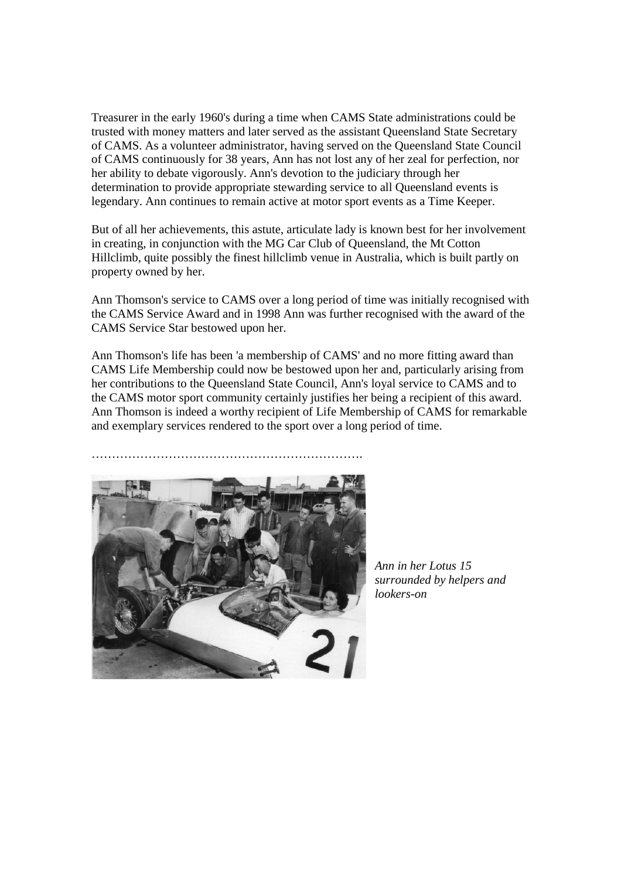Treasurer in the early 1960's during a time when CAMS State administrations could be trusted with money matters and later served as the assistant Queensland State Secretary of CAMS. As a volunteer administrator, having served on the Queensland State Council of CAMS continuously for 38 years, Ann has not lost any of her zeal for perfection, nor her ability to debate vigorously. Ann's devotion to the judiciary through her determination to provide appropriate stewarding service to all Queensland events is legendary. Ann continues to remain active at motor sport events as a Time Keeper.

But of all her achievements, this astute, articulate lady is known best for her involvement in creating, in conjunction with the MG Car Club of Queensland, the Mt Cotton Hillclimb, quite possibly the finest hillclimb venue in Australia, which is built partly on property owned by her.

Ann Thomson's service to CAMS over a long period of time was initially recognised with the CAMS Service Award and in 1998 Ann was further recognised with the award of the CAMS Service Star bestowed upon her.

Ann Thomson's life has been 'a membership of CAMS' and no more fitting award than CAMS Life Membership could now be bestowed upon her and, particularly arising from her contributions to the Queensland State Council, Ann's loyal service to CAMS and to the CAMS motor sport community certainly justifies her being a recipient of this award. Ann Thomson is indeed a worthy recipient of Life Membership of CAMS for remarkable and exemplary services rendered to the sport over a long period of time.



*Ann in her Lotus 15 surrounded by helpers and lookers-on*